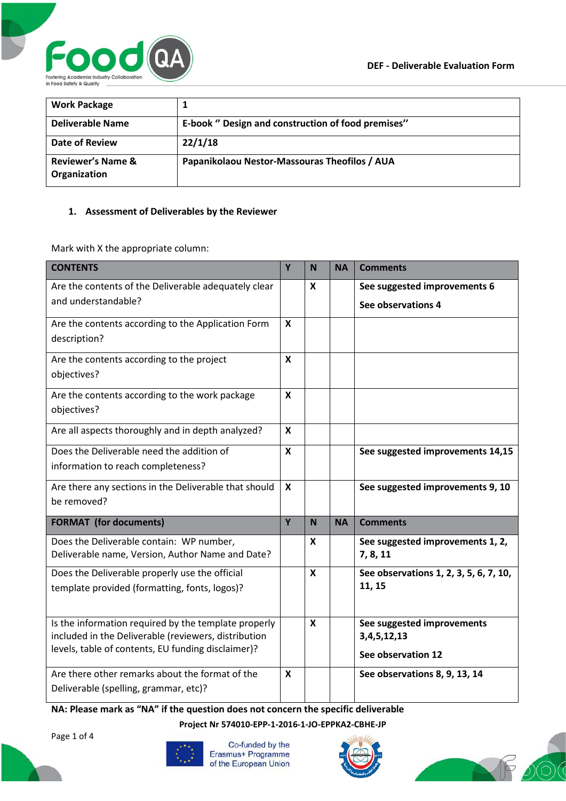

| <b>Work Package</b>                          |                                                    |
|----------------------------------------------|----------------------------------------------------|
| <b>Deliverable Name</b>                      | E-book " Design and construction of food premises" |
| Date of Review                               | 22/1/18                                            |
| <b>Reviewer's Name &amp;</b><br>Organization | Papanikolaou Nestor-Massouras Theofilos / AUA      |

## **1. Assessment of Deliverables by the Reviewer**

Mark with X the appropriate column:

| <b>CONTENTS</b>                                                                                              | Y                         | N                         | <b>NA</b> | <b>Comments</b>                                  |
|--------------------------------------------------------------------------------------------------------------|---------------------------|---------------------------|-----------|--------------------------------------------------|
| Are the contents of the Deliverable adequately clear                                                         |                           | $\boldsymbol{x}$          |           | See suggested improvements 6                     |
| and understandable?                                                                                          |                           |                           |           | See observations 4                               |
| Are the contents according to the Application Form                                                           |                           |                           |           |                                                  |
| description?                                                                                                 |                           |                           |           |                                                  |
| Are the contents according to the project                                                                    | $\pmb{\mathsf{X}}$        |                           |           |                                                  |
| objectives?                                                                                                  |                           |                           |           |                                                  |
| Are the contents according to the work package                                                               | $\boldsymbol{\mathsf{x}}$ |                           |           |                                                  |
| objectives?                                                                                                  |                           |                           |           |                                                  |
| Are all aspects thoroughly and in depth analyzed?                                                            | X                         |                           |           |                                                  |
| Does the Deliverable need the addition of                                                                    | $\boldsymbol{x}$          |                           |           | See suggested improvements 14,15                 |
| information to reach completeness?                                                                           |                           |                           |           |                                                  |
| Are there any sections in the Deliverable that should                                                        | $\boldsymbol{x}$          |                           |           | See suggested improvements 9, 10                 |
| be removed?                                                                                                  |                           |                           |           |                                                  |
| <b>FORMAT</b> (for documents)                                                                                | Y                         | N                         | <b>NA</b> | <b>Comments</b>                                  |
| Does the Deliverable contain: WP number,                                                                     |                           | X                         |           | See suggested improvements 1, 2,                 |
| Deliverable name, Version, Author Name and Date?                                                             |                           |                           |           | 7, 8, 11                                         |
| Does the Deliverable properly use the official                                                               |                           | X                         |           | See observations 1, 2, 3, 5, 6, 7, 10,<br>11, 15 |
| template provided (formatting, fonts, logos)?                                                                |                           |                           |           |                                                  |
|                                                                                                              |                           |                           |           |                                                  |
| Is the information required by the template properly<br>included in the Deliverable (reviewers, distribution |                           | $\boldsymbol{\mathsf{x}}$ |           | See suggested improvements<br>3, 4, 5, 12, 13    |
| levels, table of contents, EU funding disclaimer)?                                                           |                           |                           |           | See observation 12                               |
|                                                                                                              |                           |                           |           |                                                  |
| Are there other remarks about the format of the<br>Deliverable (spelling, grammar, etc)?                     | X                         |                           |           | See observations 8, 9, 13, 14                    |
|                                                                                                              |                           |                           |           |                                                  |

**NA: Please mark as "NA" if the question does not concern the specific deliverable**

**Project Nr 574010-EPP-1-2016-1-JO-EPPKA2-CBHE-JP**

Page 1 of 4



Co-funded by the Erasmus+ Programme of the European Union



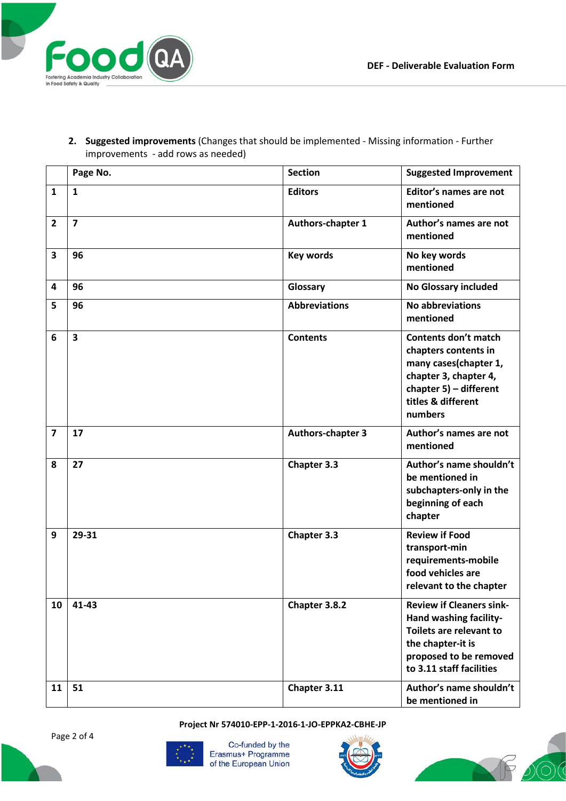

**2. Suggested improvements** (Changes that should be implemented - Missing information - Further improvements - add rows as needed)

|                         | Page No.                | <b>Section</b>           | <b>Suggested Improvement</b>                                                                                                                                     |
|-------------------------|-------------------------|--------------------------|------------------------------------------------------------------------------------------------------------------------------------------------------------------|
| $\mathbf{1}$            | $\mathbf{1}$            | <b>Editors</b>           | Editor's names are not<br>mentioned                                                                                                                              |
| $\overline{2}$          | $\overline{7}$          | Authors-chapter 1        | Author's names are not<br>mentioned                                                                                                                              |
| 3                       | 96                      | <b>Key words</b>         | No key words<br>mentioned                                                                                                                                        |
| 4                       | 96                      | Glossary                 | <b>No Glossary included</b>                                                                                                                                      |
| 5                       | 96                      | <b>Abbreviations</b>     | <b>No abbreviations</b><br>mentioned                                                                                                                             |
| 6                       | $\overline{\mathbf{3}}$ | <b>Contents</b>          | <b>Contents don't match</b><br>chapters contents in<br>many cases(chapter 1,<br>chapter 3, chapter 4,<br>chapter 5) - different<br>titles & different<br>numbers |
| $\overline{\mathbf{z}}$ | 17                      | <b>Authors-chapter 3</b> | Author's names are not<br>mentioned                                                                                                                              |
| 8                       | 27                      | Chapter 3.3              | Author's name shouldn't<br>be mentioned in<br>subchapters-only in the<br>beginning of each<br>chapter                                                            |
| 9                       | 29-31                   | Chapter 3.3              | <b>Review if Food</b><br>transport-min<br>requirements-mobile<br>food vehicles are<br>relevant to the chapter                                                    |
| 10                      | 41-43                   | Chapter 3.8.2            | <b>Review if Cleaners sink-</b><br>Hand washing facility-<br>Toilets are relevant to<br>the chapter-it is<br>proposed to be removed<br>to 3.11 staff facilities  |
| 11                      | 51                      | Chapter 3.11             | Author's name shouldn't<br>be mentioned in                                                                                                                       |

**Project Nr 574010-EPP-1-2016-1-JO-EPPKA2-CBHE-JP**





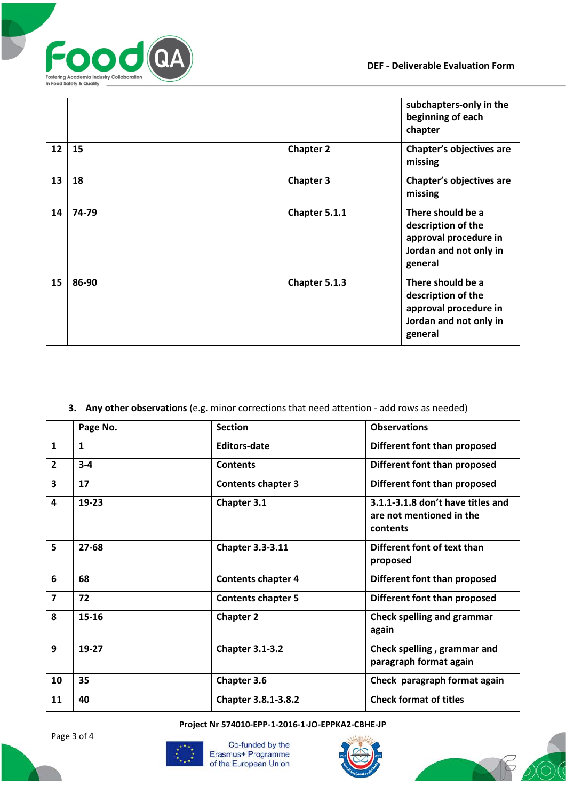

|    |       |                  | subchapters-only in the<br>beginning of each<br>chapter                                               |
|----|-------|------------------|-------------------------------------------------------------------------------------------------------|
| 12 | 15    | <b>Chapter 2</b> | Chapter's objectives are<br>missing                                                                   |
| 13 | 18    | <b>Chapter 3</b> | Chapter's objectives are<br>missing                                                                   |
| 14 | 74-79 | Chapter 5.1.1    | There should be a<br>description of the<br>approval procedure in<br>Jordan and not only in<br>general |
| 15 | 86-90 | Chapter 5.1.3    | There should be a<br>description of the<br>approval procedure in<br>Jordan and not only in<br>general |

## **3. Any other observations** (e.g. minor corrections that need attention - add rows as needed)

|                         | Page No.     | <b>Section</b>            | <b>Observations</b>                                                       |
|-------------------------|--------------|---------------------------|---------------------------------------------------------------------------|
| $\mathbf{1}$            | $\mathbf{1}$ | <b>Editors-date</b>       | Different font than proposed                                              |
| $\overline{2}$          | $3 - 4$      | <b>Contents</b>           | Different font than proposed                                              |
| $\overline{\mathbf{3}}$ | 17           | <b>Contents chapter 3</b> | Different font than proposed                                              |
| 4                       | $19 - 23$    | Chapter 3.1               | 3.1.1-3.1.8 don't have titles and<br>are not mentioned in the<br>contents |
| 5                       | 27-68        | <b>Chapter 3.3-3.11</b>   | Different font of text than<br>proposed                                   |
| 6                       | 68           | <b>Contents chapter 4</b> | Different font than proposed                                              |
| $\overline{7}$          | 72           | <b>Contents chapter 5</b> | Different font than proposed                                              |
| 8                       | 15-16        | <b>Chapter 2</b>          | <b>Check spelling and grammar</b><br>again                                |
| 9                       | 19-27        | <b>Chapter 3.1-3.2</b>    | Check spelling, grammar and<br>paragraph format again                     |
| 10                      | 35           | <b>Chapter 3.6</b>        | Check paragraph format again                                              |
| 11                      | 40           | Chapter 3.8.1-3.8.2       | <b>Check format of titles</b>                                             |

**Project Nr 574010-EPP-1-2016-1-JO-EPPKA2-CBHE-JP**



Co-funded by the Erasmus+ Programme of the European Union